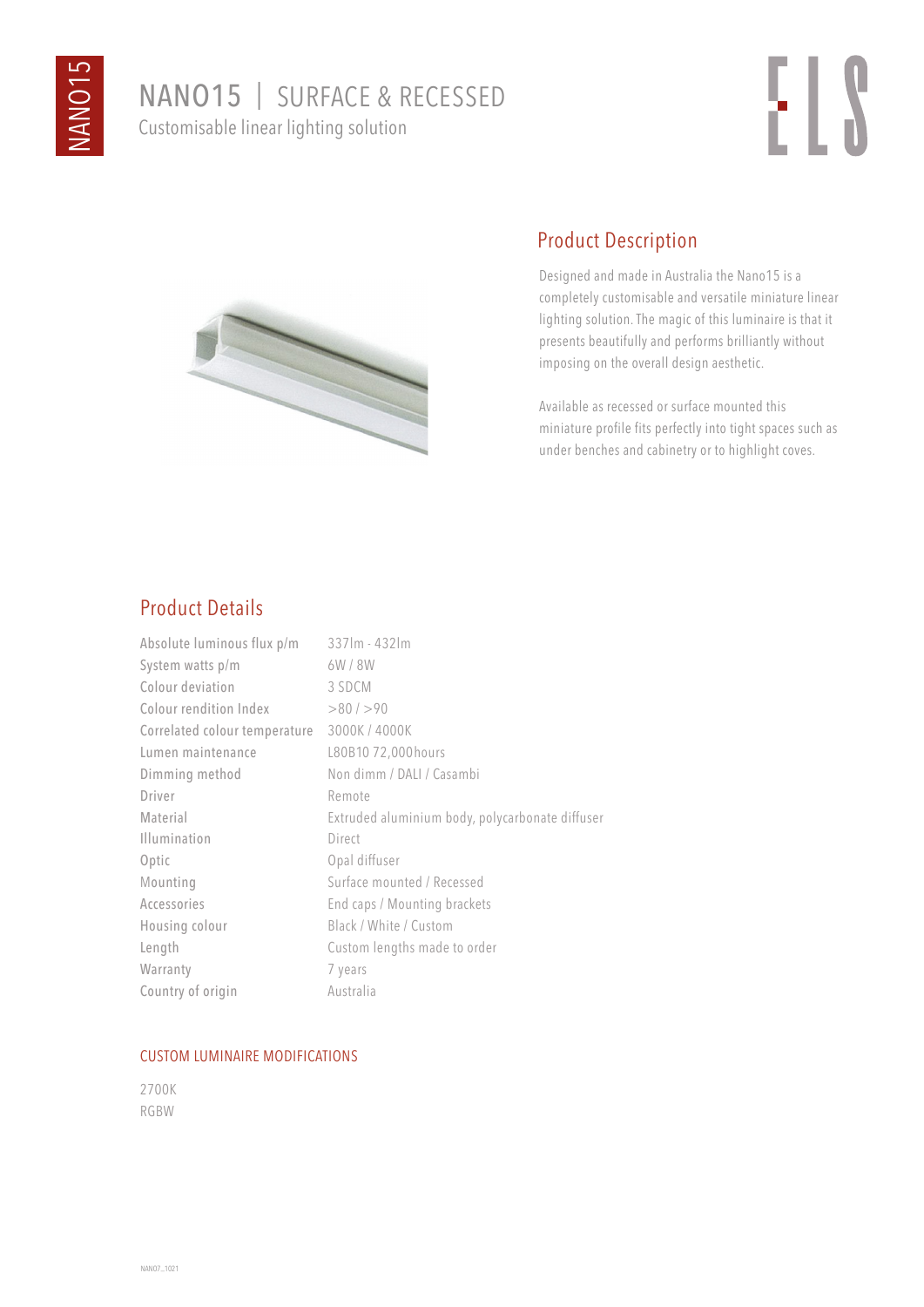# NANO15 | SURFACE & RECESSED Customisable linear lighting solution





# Product Description

Designed and made in Australia the Nano15 is a completely customisable and versatile miniature linear lighting solution. The magic of this luminaire is that it presents beautifully and performs brilliantly without imposing on the overall design aesthetic.

Available as recessed or surface mounted this miniature profile fits perfectly into tight spaces such as under benches and cabinetry or to highlight coves.

### Product Details

| Absolute luminous flux p/m    | $337$ lm - 432 lm                               |
|-------------------------------|-------------------------------------------------|
| System watts p/m              | 6W/8W                                           |
| Colour deviation              | 3 SDCM                                          |
| Colour rendition Index        | >80/>90                                         |
| Correlated colour temperature | 3000K / 4000K                                   |
| Lumen maintenance             | L80B10 72,000 hours                             |
| Dimming method                | Non dimm / DALI / Casambi                       |
| Driver                        | Remote                                          |
| Material                      | Extruded aluminium body, polycarbonate diffuser |
| <b>Illumination</b>           | Direct                                          |
| Optic                         | Opal diffuser                                   |
| Mounting                      | Surface mounted / Recessed                      |
| Accessories                   | End caps / Mounting brackets                    |
| Housing colour                | Black / White / Custom                          |
| Length                        | Custom lengths made to order                    |
| Warranty                      | 7 years                                         |
| Country of origin             | Australia                                       |

#### CUSTOM LUMINAIRE MODIFICATIONS

2700K RGBW